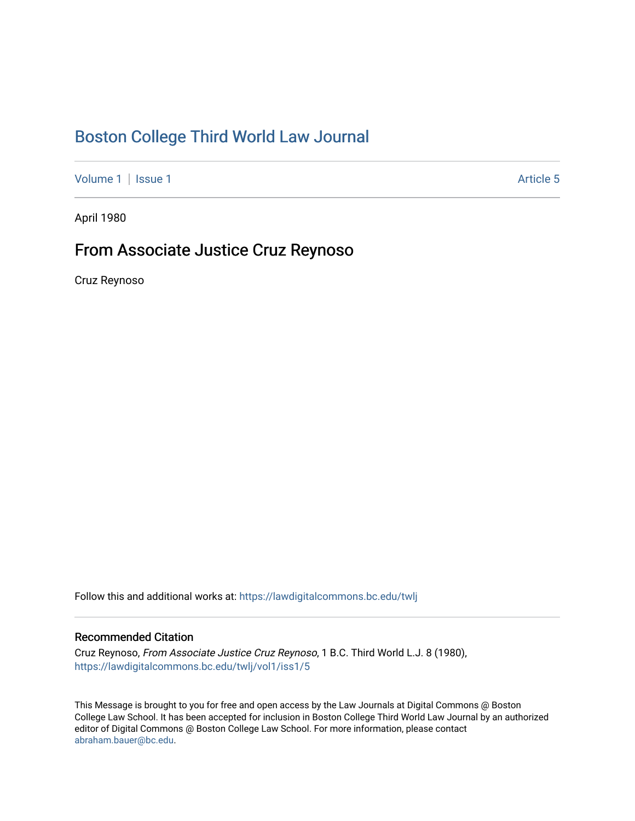## [Boston College Third World Law Journal](https://lawdigitalcommons.bc.edu/twlj)

[Volume 1](https://lawdigitalcommons.bc.edu/twlj/vol1) | [Issue 1](https://lawdigitalcommons.bc.edu/twlj/vol1/iss1) Article 5

April 1980

## From Associate Justice Cruz Reynoso

Cruz Reynoso

Follow this and additional works at: [https://lawdigitalcommons.bc.edu/twlj](https://lawdigitalcommons.bc.edu/twlj?utm_source=lawdigitalcommons.bc.edu%2Ftwlj%2Fvol1%2Fiss1%2F5&utm_medium=PDF&utm_campaign=PDFCoverPages) 

## Recommended Citation

Cruz Reynoso, From Associate Justice Cruz Reynoso, 1 B.C. Third World L.J. 8 (1980), [https://lawdigitalcommons.bc.edu/twlj/vol1/iss1/5](https://lawdigitalcommons.bc.edu/twlj/vol1/iss1/5?utm_source=lawdigitalcommons.bc.edu%2Ftwlj%2Fvol1%2Fiss1%2F5&utm_medium=PDF&utm_campaign=PDFCoverPages) 

This Message is brought to you for free and open access by the Law Journals at Digital Commons @ Boston College Law School. It has been accepted for inclusion in Boston College Third World Law Journal by an authorized editor of Digital Commons @ Boston College Law School. For more information, please contact [abraham.bauer@bc.edu.](mailto:abraham.bauer@bc.edu)